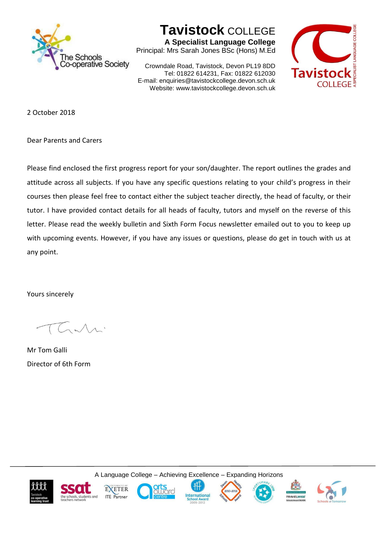

## **Tavistock** COLLEGE

**A Specialist Language College** Principal: Mrs Sarah Jones BSc (Hons) M.Ed

Crowndale Road, Tavistock, Devon PL19 8DD Tel: 01822 614231, Fax: 01822 612030 E-mail: enquiries@tavistockcollege.devon.sch.uk Website: www.tavistockcollege.devon.sch.uk



2 October 2018

Dear Parents and Carers

Please find enclosed the first progress report for your son/daughter. The report outlines the grades and attitude across all subjects. If you have any specific questions relating to your child's progress in their courses then please feel free to contact either the subject teacher directly, the head of faculty, or their tutor. I have provided contact details for all heads of faculty, tutors and myself on the reverse of this letter. Please read the weekly bulletin and Sixth Form Focus newsletter emailed out to you to keep up with upcoming events. However, if you have any issues or questions, please do get in touch with us at any point.

Yours sincerely

Mr Tom Galli Director of 6th Form

A Language College – Achieving Excellence – Expanding Horizons













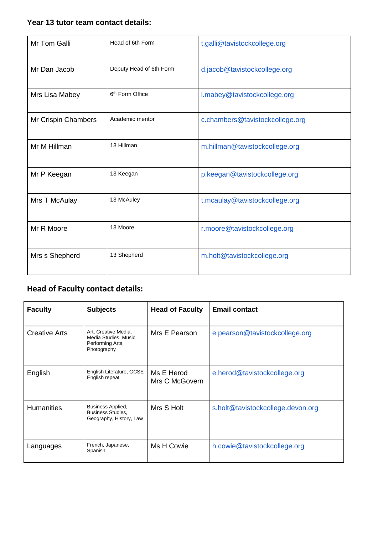## **Year 13 tutor team contact details:**

| Mr Tom Galli        | Head of 6th Form            | t.galli@tavistockcollege.org    |
|---------------------|-----------------------------|---------------------------------|
| Mr Dan Jacob        | Deputy Head of 6th Form     | d.jacob@tavistockcollege.org    |
| Mrs Lisa Mabey      | 6 <sup>th</sup> Form Office | I.mabey@tavistockcollege.org    |
| Mr Crispin Chambers | Academic mentor             | c.chambers@tavistockcollege.org |
| Mr M Hillman        | 13 Hillman                  | m.hillman@tavistockcollege.org  |
| Mr P Keegan         | 13 Keegan                   | p.keegan@tavistockcollege.org   |
| Mrs T McAulay       | 13 McAuley                  | t.mcaulay@tavistockcollege.org  |
| Mr R Moore          | 13 Moore                    | r.moore@tavistockcollege.org    |
| Mrs s Shepherd      | 13 Shepherd                 | m.holt@tavistockcollege.org     |

## **Head of Faculty contact details:**

| <b>Faculty</b>       | <b>Subjects</b>                                                                  | <b>Head of Faculty</b>       | <b>Email contact</b>              |
|----------------------|----------------------------------------------------------------------------------|------------------------------|-----------------------------------|
| <b>Creative Arts</b> | Art, Creative Media,<br>Media Studies, Music,<br>Performing Arts,<br>Photography | Mrs E Pearson                | e.pearson@tavistockcollege.org    |
| English              | English Literature, GCSE<br>English repeat                                       | Ms E Herod<br>Mrs C McGovern | e.herod@tavistockcollege.org      |
| <b>Humanities</b>    | Business Applied,<br><b>Business Studies,</b><br>Geography, History, Law         | Mrs S Holt                   | s.holt@tavistockcollege.devon.org |
| Languages            | French, Japanese,<br>Spanish                                                     | Ms H Cowie                   | h.cowie@tavistockcollege.org      |